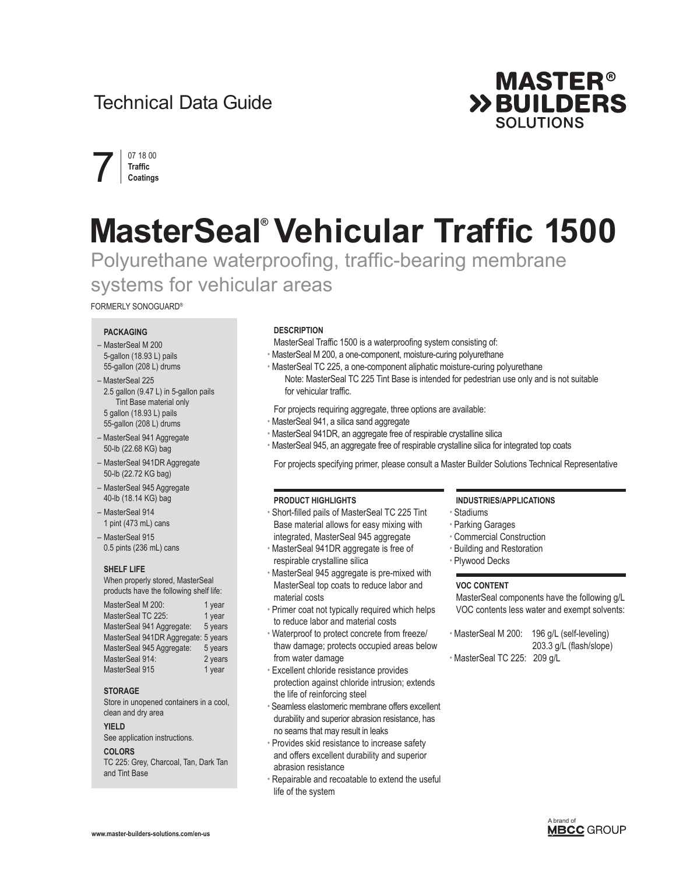## Technical Data Guide



07 18 00 **Traffic** 7 **Coatings**

# **MasterSeal® Vehicular Traffic 1500**

Polyurethane waterproofing, traffic-bearing membrane systems for vehicular areas

FORMERLY SONOGUARD®

#### **PACKAGING**

- MasterSeal M 200 5-gallon (18.93 L) pails 55-gallon (208 L) drums
- MasterSeal 225 2.5 gallon (9.47 L) in 5-gallon pails Tint Base material only
- 5 gallon (18.93 L) pails 55-gallon (208 L) drums
- MasterSeal 941 Aggregate 50-lb (22.68 KG) bag
- MasterSeal 941DR Aggregate 50-lb (22.72 KG bag)
- MasterSeal 945 Aggregate 40-lb (18.14 KG) bag
- MasterSeal 914 1 pint (473 mL) cans
- MasterSeal 915 0.5 pints (236 mL) cans

#### **SHELF LIFE**

When properly stored, MasterSeal products have the following shelf life:

| MasterSeal M 200:         |                                     | 1 year  |
|---------------------------|-------------------------------------|---------|
| MasterSeal TC 225:        |                                     | 1 year  |
| MasterSeal 941 Aggregate: |                                     | 5 years |
|                           | MasterSeal 941DR Aggregate: 5 years |         |
| MasterSeal 945 Aggregate: |                                     | 5 years |
| MasterSeal 914:           |                                     | 2 years |
| MasterSeal 915            |                                     | 1 year  |

#### **STORAGE**

Store in unopened containers in a cool, clean and dry area

#### **YIELD**

See application instructions.

### **COLORS**

TC 225: Grey, Charcoal, Tan, Dark Tan and Tint Base

#### **DESCRIPTION**

- MasterSeal Traffic 1500 is a waterproofing system consisting of:
- MasterSeal M 200, a one-component, moisture-curing polyurethane
- MasterSeal TC 225, a one-component aliphatic moisture-curing polyurethane Note: MasterSeal TC 225 Tint Base is intended for pedestrian use only and is not suitable for vehicular traffic.

For projects requiring aggregate, three options are available:

- MasterSeal 941, a silica sand aggregate
- MasterSeal 941DR, an aggregate free of respirable crystalline silica
- MasterSeal 945, an aggregate free of respirable crystalline silica for integrated top coats

For projects specifying primer, please consult a Master Builder Solutions Technical Representative

#### **PRODUCT HIGHLIGHTS**

- Short-filled pails of MasterSeal TC 225 Tint Base material allows for easy mixing with integrated, MasterSeal 945 aggregate
- MasterSeal 941DR aggregate is free of respirable crystalline silica
- MasterSeal 945 aggregate is pre-mixed with MasterSeal top coats to reduce labor and material costs
- Primer coat not typically required which helps to reduce labor and material costs
- Waterproof to protect concrete from freeze/ thaw damage; protects occupied areas below from water damage
- Excellent chloride resistance provides protection against chloride intrusion; extends the life of reinforcing steel
- Seamless elastomeric membrane offers excellent durability and superior abrasion resistance, has no seams that may result in leaks
- Provides skid resistance to increase safety and offers excellent durability and superior abrasion resistance
- Repairable and recoatable to extend the useful life of the system

#### **INDUSTRIES/APPLICATIONS**

- Stadiums
- Parking Garages
- Commercial Construction
- Building and Restoration
- Plywood Decks

#### **VOC CONTENT**

MasterSeal components have the following g/L VOC contents less water and exempt solvents:

- MasterSeal M 200: 196 g/L (self-leveling) 203.3 g/L (flash/slope)
- MasterSeal TC 225: 209 g/L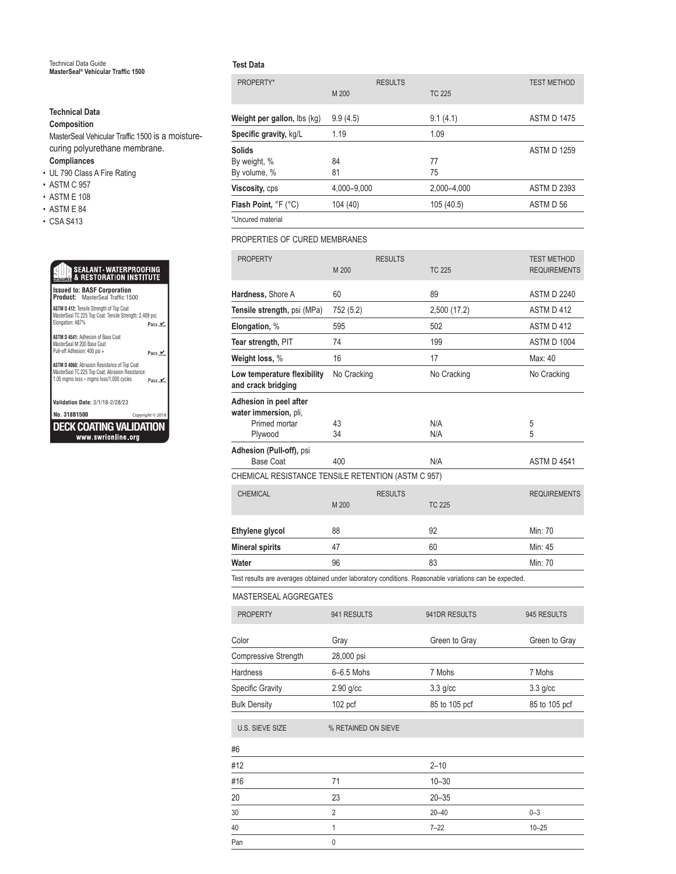Technical Data Guide **MasterSeal® Vehicular Traffic 1500**

#### **Technical Data Composition** MasterSeal Vehicular Traffic 1500 is a moisturecuring polyurethane membrane. **Compliances** • UL 790 Class A Fire Rating • ASTM C 957 • ASTM E 108 • ASTM E 84 • CSA S413 \*Uncured material

| <b>SEALANT · WATERPROOFING</b><br><b>WHITE &amp; RESTORATION INSTITUTE</b>                                                                  |                  |  |  |  |
|---------------------------------------------------------------------------------------------------------------------------------------------|------------------|--|--|--|
| <b>Issued to: BASF Corporation</b><br><b>Product:</b> MasterSeal Traffic 1500                                                               |                  |  |  |  |
| ASTM D 412: Tensile Strength of Top Coat<br>MasterSeal TC 225 Top Coat: Tensile Strength: 2,409 psi;<br>Elongation: 487%                    | Pass V           |  |  |  |
| ASTM D 4541: Adhesion of Base Coat<br>MasterSeal M 200 Base Coat<br>Pull-off Adhesion: 400 psi +                                            | Pass V           |  |  |  |
| ASTM D 4060: Abrasion Resistance of Top Coat<br>MasterSeal TC 225 Top Coat: Abrasion Resistance:<br>1.05 mgms loss - mgms loss/1,000 cycles | Pass $V$         |  |  |  |
| Validation Date: 3/1/18-2/28/23                                                                                                             |                  |  |  |  |
| No. 318B1500                                                                                                                                | Copyright © 2018 |  |  |  |
| <b>DECK COATING VALIDATION</b><br>www.swrionline.org                                                                                        |                  |  |  |  |

#### **Test Data**

| PROPERTY*                   | <b>RESULTS</b> |  |               | <b>TEST METHOD</b> |
|-----------------------------|----------------|--|---------------|--------------------|
|                             | M 200          |  | <b>TC 225</b> |                    |
| Weight per gallon, lbs (kg) | 9.9(4.5)       |  | 9.1(4.1)      | <b>ASTM D 1475</b> |
| Specific gravity, kg/L      | 1.19           |  | 1.09          |                    |
| Solids                      |                |  |               | <b>ASTM D 1259</b> |
| By weight, %                | 84             |  | 77            |                    |
| By volume, %                | 81             |  | 75            |                    |
| Viscosity, cps              | 4,000-9,000    |  | 2,000-4,000   | <b>ASTM D 2393</b> |
| Flash Point, °F (°C)        | 104 (40)       |  | 105 (40.5)    | ASTM D 56          |
| *l Incured material *       |                |  |               |                    |

#### PROPERTIES OF CURED MEMBRANES

| <b>PROPERTY</b>                                    | M 200               | <b>RESULTS</b> | <b>TC 225</b>                                                                                          | <b>TEST METHOD</b><br><b>REQUIREMENTS</b> |
|----------------------------------------------------|---------------------|----------------|--------------------------------------------------------------------------------------------------------|-------------------------------------------|
|                                                    |                     |                |                                                                                                        |                                           |
| Hardness, Shore A                                  | 60                  |                | 89                                                                                                     | <b>ASTM D 2240</b>                        |
| Tensile strength, psi (MPa)                        | 752 (5.2)           |                | 2,500 (17.2)                                                                                           | ASTM D 412                                |
| Elongation, %                                      | 595                 |                | 502                                                                                                    | ASTM D 412                                |
| Tear strength, PIT                                 | 74                  |                | 199                                                                                                    | <b>ASTM D 1004</b>                        |
| Weight loss, %                                     | 16                  |                | 17                                                                                                     | Max: 40                                   |
| Low temperature flexibility<br>and crack bridging  | No Cracking         |                | No Cracking                                                                                            | No Cracking                               |
| Adhesion in peel after<br>water immersion, pli.    |                     |                |                                                                                                        |                                           |
| Primed mortar                                      | 43                  |                | N/A                                                                                                    | 5                                         |
| Plywood                                            | 34                  |                | N/A                                                                                                    | 5                                         |
| Adhesion (Pull-off), psi<br><b>Base Coat</b>       | 400                 |                | N/A                                                                                                    | <b>ASTM D 4541</b>                        |
| CHEMICAL RESISTANCE TENSILE RETENTION (ASTM C 957) |                     |                |                                                                                                        |                                           |
| <b>CHEMICAL</b>                                    | M 200               | <b>RESULTS</b> | <b>TC 225</b>                                                                                          | <b>REQUIREMENTS</b>                       |
| Ethylene glycol                                    | 88                  |                | 92                                                                                                     | Min: 70                                   |
| <b>Mineral spirits</b>                             | 47                  |                | 60                                                                                                     | Min: 45                                   |
| Water                                              | 96                  |                | 83                                                                                                     | Min: 70                                   |
|                                                    |                     |                | Test results are averages obtained under laboratory conditions. Reasonable variations can be expected. |                                           |
| <b>MASTERSEAL AGGREGATES</b>                       |                     |                |                                                                                                        |                                           |
| <b>PROPERTY</b>                                    | 941 RESULTS         |                | 941DR RESULTS                                                                                          | 945 RESULTS                               |
| Color                                              | Gray                |                | Green to Gray                                                                                          | Green to Gray                             |
| Compressive Strength                               | 28,000 psi          |                |                                                                                                        |                                           |
| Hardness                                           | 6-6.5 Mohs          |                | 7 Mohs                                                                                                 | 7 Mohs                                    |
| <b>Specific Gravity</b>                            | 2.90 g/cc           |                | $3.3$ g/cc                                                                                             | $3.3$ g/cc                                |
| <b>Bulk Density</b>                                | $102$ pcf           |                | 85 to 105 pcf                                                                                          | 85 to 105 pcf                             |
| U.S. SIEVE SIZE                                    | % RETAINED ON SIEVE |                |                                                                                                        |                                           |
| #6                                                 |                     |                |                                                                                                        |                                           |
| #12                                                |                     |                | $2 - 10$                                                                                               |                                           |
| #16                                                | 71                  |                | $10 - 30$                                                                                              |                                           |

20 23 20–35

Pan 0

 $30$  2 20–40 0–3 40 1 7–22 10–25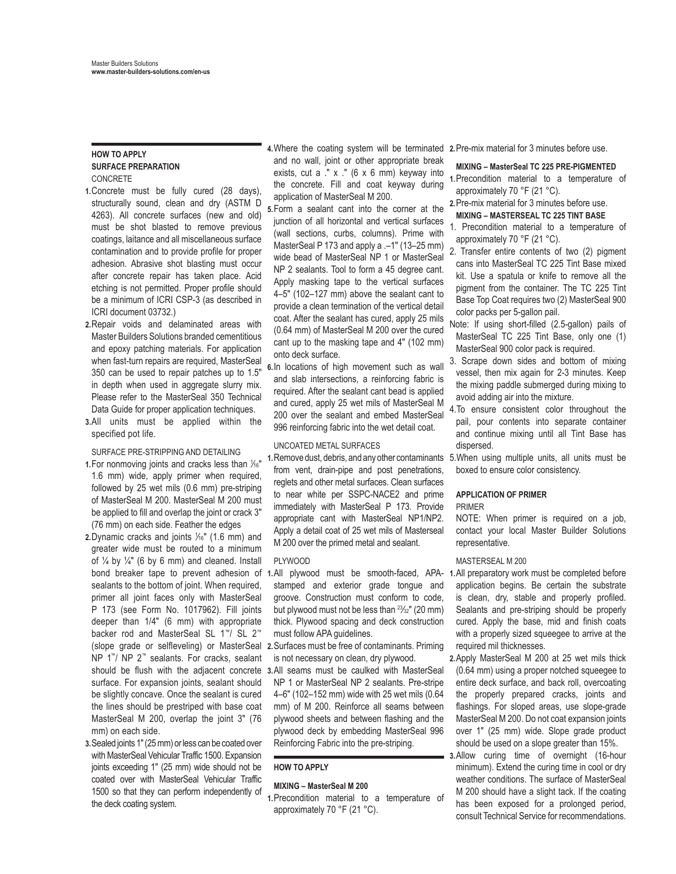#### **HOW TO APPLY SURFACE PREPARATION** CONCRETE

- **1.**Concrete must be fully cured (28 days), structurally sound, clean and dry (ASTM D 4263). All concrete surfaces (new and old) must be shot blasted to remove previous coatings, laitance and all miscellaneous surface contamination and to provide profile for proper adhesion. Abrasive shot blasting must occur after concrete repair has taken place. Acid etching is not permitted. Proper profile should be a minimum of ICRI CSP-3 (as described in ICRI document 03732.)
- **2.**Repair voids and delaminated areas with Master Builders Solutions branded cementitious and epoxy patching materials. For application when fast-turn repairs are required, MasterSeal 350 can be used to repair patches up to 1.5" in depth when used in aggregate slurry mix. Please refer to the MasterSeal 350 Technical Data Guide for proper application techniques.
- **3.**All units must be applied within the specified pot life.

#### SURFACE PRE-STRIPPING AND DETAILING

- 1. For nonmoving joints and cracks less than  $\frac{1}{6}$ " 1.6 mm) wide, apply primer when required, followed by 25 wet mils (0.6 mm) pre-striping of MasterSeal M 200. MasterSeal M 200 must be applied to fill and overlap the joint or crack 3" (76 mm) on each side. Feather the edges
- **2.**Dynamic cracks and joints  $\frac{1}{6}$  (1.6 mm) and greater wide must be routed to a minimum of  $\frac{1}{4}$  by  $\frac{1}{4}$ " (6 by 6 mm) and cleaned. Install bond breaker tape to prevent adhesion of sealants to the bottom of joint. When required, primer all joint faces only with MasterSeal P 173 (see Form No. 1017962). Fill joints deeper than 1/4" (6 mm) with appropriate backer rod and MasterSeal SL 1™/ SL 2™ (slope grade or selfleveling) or MasterSeal NP 1™/ NP 2™ sealants. For cracks, sealant should be flush with the adjacent concrete surface. For expansion joints, sealant should be slightly concave. Once the sealant is cured the lines should be prestriped with base coat MasterSeal M 200, overlap the joint 3" (76 mm) on each side.
- **3.**Sealed joints 1" (25 mm) or less can be coated over with MasterSeal Vehicular Traffic 1500. Expansion joints exceeding 1" (25 mm) wide should not be coated over with MasterSeal Vehicular Traffic 1500 so that they can perform independently of the deck coating system.

4. Where the coating system will be terminated 2. Pre-mix material for 3 minutes before use. and no wall, joint or other appropriate break exists, cut a ." x ." (6 x 6 mm) keyway into the concrete. Fill and coat keyway during application of MasterSeal M 200.

- **5.**Form a sealant cant into the corner at the junction of all horizontal and vertical surfaces (wall sections, curbs, columns). Prime with MasterSeal P 173 and apply a .–1" (13–25 mm) wide bead of MasterSeal NP 1 or MasterSeal NP 2 sealants. Tool to form a 45 degree cant. Apply masking tape to the vertical surfaces 4–5" (102–127 mm) above the sealant cant to provide a clean termination of the vertical detail coat. After the sealant has cured, apply 25 mils (0.64 mm) of MasterSeal M 200 over the cured cant up to the masking tape and 4" (102 mm) onto deck surface.
- **6.**In locations of high movement such as wall and slab intersections, a reinforcing fabric is required. After the sealant cant bead is applied and cured, apply 25 wet mils of MasterSeal M 200 over the sealant and embed MasterSeal 996 reinforcing fabric into the wet detail coat.

#### UNCOATED METAL SURFACES

from vent, drain-pipe and post penetrations, reglets and other metal surfaces. Clean surfaces to near white per SSPC-NACE2 and prime immediately with MasterSeal P 173. Provide appropriate cant with MasterSeal NP1/NP2. Apply a detail coat of 25 wet mils of Masterseal M 200 over the primed metal and sealant.

#### PLYWOOD

- **1.**All plywood must be smooth-faced, APAstamped and exterior grade tongue and groove. Construction must conform to code, but plywood must not be less than  $2\frac{3}{32}$ " (20 mm) thick. Plywood spacing and deck construction must follow APA guidelines.
- **2.**Surfaces must be free of contaminants. Priming is not necessary on clean, dry plywood.
- **3.**All seams must be caulked with MasterSeal NP 1 or MasterSeal NP 2 sealants. Pre-stripe 4–6" (102–152 mm) wide with 25 wet mils (0.64 mm) of M 200. Reinforce all seams between plywood sheets and between flashing and the plywood deck by embedding MasterSeal 996 Reinforcing Fabric into the pre-striping.

#### **HOW TO APPLY**

#### **MIXING – MasterSeal M 200**

**1.**Precondition material to a temperature of approximately 70 °F (21 °C).

#### **MIXING – MasterSeal TC 225 PRE-PIGMENTED**

- **1.**Precondition material to a temperature of approximately 70 °F (21 °C).
- **2.**Pre-mix material for 3 minutes before use.
- **MIXING MASTERSEAL TC 225 TINT BASE**
- 1. Precondition material to a temperature of approximately 70 °F (21 °C).
- 2. Transfer entire contents of two (2) pigment cans into MasterSeal TC 225 Tint Base mixed kit. Use a spatula or knife to remove all the pigment from the container. The TC 225 Tint Base Top Coat requires two (2) MasterSeal 900 color packs per 5-gallon pail.
- Note: If using short-filled (2.5-gallon) pails of MasterSeal TC 225 Tint Base, only one (1) MasterSeal 900 color pack is required.
- 3. Scrape down sides and bottom of mixing vessel, then mix again for 2-3 minutes. Keep the mixing paddle submerged during mixing to avoid adding air into the mixture.
- 4.To ensure consistent color throughout the pail, pour contents into separate container and continue mixing until all Tint Base has dispersed.
- 1. Remove dust, debris, and any other contaminants 5. When using multiple units, all units must be boxed to ensure color consistency.

#### **APPLICATION OF PRIMER**

PRIMER

NOTE: When primer is required on a job, contact your local Master Builder Solutions representative.

#### MASTERSEAL M 200

- **1.**All preparatory work must be completed before application begins. Be certain the substrate is clean, dry, stable and properly profiled. Sealants and pre-striping should be properly cured. Apply the base, mid and finish coats with a properly sized squeegee to arrive at the required mil thicknesses.
- **2.**Apply MasterSeal M 200 at 25 wet mils thick (0.64 mm) using a proper notched squeegee to entire deck surface, and back roll, overcoating the properly prepared cracks, joints and flashings. For sloped areas, use slope-grade MasterSeal M 200. Do not coat expansion joints over 1" (25 mm) wide. Slope grade product should be used on a slope greater than 15%.
- **3.**Allow curing time of overnight (16-hour minimum). Extend the curing time in cool or dry weather conditions. The surface of MasterSeal M 200 should have a slight tack. If the coating has been exposed for a prolonged period, consult Technical Service for recommendations.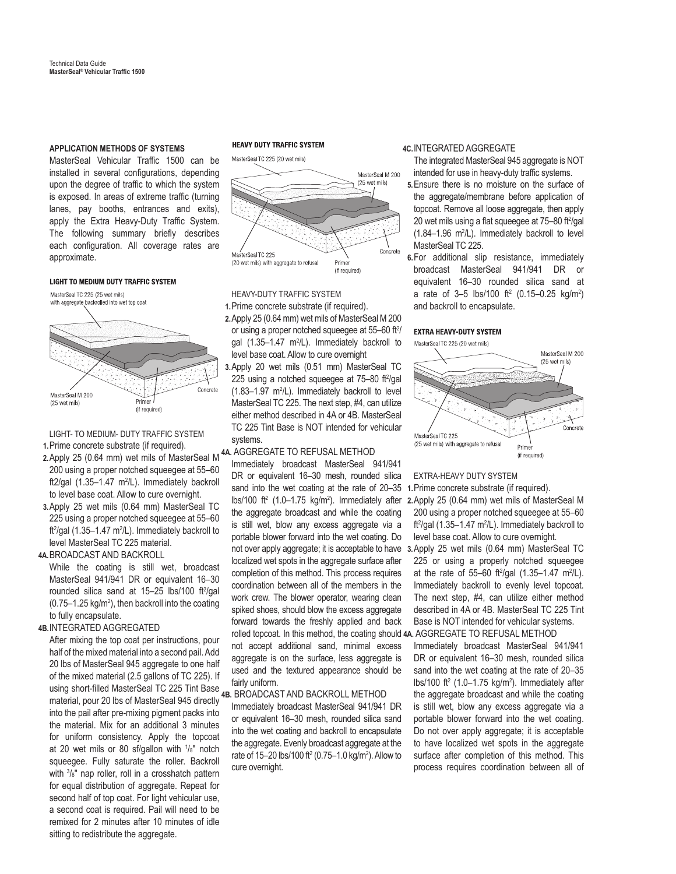#### **APPLICATION METHODS OF SYSTEMS**

MasterSeal Vehicular Traffic 1500 can be installed in several configurations, depending upon the degree of traffic to which the system is exposed. In areas of extreme traffic (turning lanes, pay booths, entrances and exits), apply the Extra Heavy-Duty Traffic System. The following summary briefly describes each configuration. All coverage rates are approximate.

#### LIGHT TO MEDIUM DUTY TRAFFIC SYSTEM



#### LIGHT- TO MEDIUM- DUTY TRAFFIC SYSTEM

- **1.**Prime concrete substrate (if required).
- **2.**Apply 25 (0.64 mm) wet mils of MasterSeal M 200 using a proper notched squeegee at 55–60 ft2/gal (1.35–1.47 m<sup>2</sup>/L). Immediately backroll to level base coat. Allow to cure overnight.
- **3.**Apply 25 wet mils (0.64 mm) MasterSeal TC 225 using a proper notched squeegee at 55–60  $ft^2$ /gal (1.35–1.47 m<sup>2</sup>/L). Immediately backroll to level MasterSeal TC 225 material.

**4A.**BROADCAST AND BACKROLL

While the coating is still wet, broadcast MasterSeal 941/941 DR or equivalent 16–30 rounded silica sand at 15–25 lbs/100 ft<sup>2</sup>/gal  $(0.75-1.25 \text{ kg/m}^2)$ , then backroll into the coating to fully encapsulate.

#### **4B.**INTEGRATED AGGREGATED

After mixing the top coat per instructions, pour half of the mixed material into a second pail. Add 20 lbs of MasterSeal 945 aggregate to one half of the mixed material (2.5 gallons of TC 225). If of the finace matcher (2.9 gallons of 10 220). It fairly uniform.<br>using short-filled MasterSeal TC 225 Tint Base 1p RDOADCAS material, pour 20 lbs of MasterSeal 945 directly into the pail after pre-mixing pigment packs into the material. Mix for an additional 3 minutes for uniform consistency. Apply the topcoat at 20 wet mils or 80 sf/gallon with 1 /8" notch squeegee. Fully saturate the roller. Backroll with  $\frac{3}{8}$ " nap roller, roll in a crosshatch pattern for equal distribution of aggregate. Repeat for second half of top coat. For light vehicular use, a second coat is required. Pail will need to be remixed for 2 minutes after 10 minutes of idle sitting to redistribute the aggregate.

MasterSeal TC 225 (20 wet mils)



#### HEAVY-DUTY TRAFFIC SYSTEM

- **1.**Prime concrete substrate (if required). **2.**Apply 25 (0.64 mm) wet mils of MasterSeal M 200
- or using a proper notched squeegee at 55-60 ft<sup>2</sup>/ gal (1.35–1.47 m<sup>2</sup>/L). Immediately backroll to level base coat. Allow to cure overnight
- **3.**Apply 20 wet mils (0.51 mm) MasterSeal TC 225 using a notched squeegee at 75-80 ft<sup>2</sup>/gal (1.83–1.97 m2 /L). Immediately backroll to level MasterSeal TC 225. The next step, #4, can utilize either method described in 4A or 4B. MasterSeal TC 225 Tint Base is NOT intended for vehicular systems.

#### **4A.** AGGREGATE TO REFUSAL METHOD

Immediately broadcast MasterSeal 941/941 DR or equivalent 16-30 mesh, rounded silica sand into the wet coating at the rate of 20–35 lbs/100 ft<sup>2</sup> (1.0–1.75 kg/m<sup>2</sup>). Immediately after the aggregate broadcast and while the coating is still wet, blow any excess aggregate via a portable blower forward into the wet coating. Do not over apply aggregate; it is acceptable to have **3.**Apply 25 wet mils (0.64 mm) MasterSeal TC localized wet spots in the aggregate surface after completion of this method. This process requires coordination between all of the members in the work crew. The blower operator, wearing clean spiked shoes, should blow the excess aggregate forward towards the freshly applied and back rolled topcoat. In this method, the coating should 4A. AGGREGATE TO REFUSAL METHOD not accept additional sand, minimal excess aggregate is on the surface, less aggregate is used and the textured appearance should be

#### **4B.** BROADCAST AND BACKROLL METHOD

Immediately broadcast MasterSeal 941/941 DR or equivalent 16–30 mesh, rounded silica sand into the wet coating and backroll to encapsulate the aggregate. Evenly broadcast aggregate at the rate of 15–20 lbs/100 ft2 (0.75–1.0 kg/m2 ). Allow to cure overnight.

#### **4C.**INTEGRATED AGGREGATE

The integrated MasterSeal 945 aggregate is NOT intended for use in heavy-duty traffic systems.

- **5.**Ensure there is no moisture on the surface of the aggregate/membrane before application of topcoat. Remove all loose aggregate, then apply 20 wet mils using a flat squeegee at 75-80 ft<sup>2</sup>/gal  $(1.84-1.96 \text{ m}^2/\text{L})$ . Immediately backroll to level MasterSeal TC 225.
- **6.**For additional slip resistance, immediately broadcast MasterSeal 941/941 DR or equivalent 16–30 rounded silica sand at a rate of 3-5 lbs/100 ft<sup>2</sup> (0.15-0.25 kg/m<sup>2</sup>) and backroll to encapsulate.



#### EXTRA-HEAVY DUTY SYSTEM

- **1.**Prime concrete substrate (if required).
- **2.**Apply 25 (0.64 mm) wet mils of MasterSeal M 200 using a proper notched squeegee at 55–60 ft<sup>2</sup>/gal (1.35–1.47 m<sup>2</sup>/L). Immediately backroll to level base coat. Allow to cure overnight.
- 225 or using a properly notched squeegee at the rate of 55–60 ft<sup>2</sup>/gal  $(1.35-1.47 \text{ m}^2/\text{L})$ . Immediately backroll to evenly level topcoat. The next step, #4, can utilize either method described in 4A or 4B. MasterSeal TC 225 Tint Base is NOT intended for vehicular systems.

Immediately broadcast MasterSeal 941/941 DR or equivalent 16–30 mesh, rounded silica sand into the wet coating at the rate of 20–35  $\frac{1}{2}$  (1.0–1.75 kg/m<sup>2</sup>). Immediately after the aggregate broadcast and while the coating is still wet, blow any excess aggregate via a portable blower forward into the wet coating. Do not over apply aggregate; it is acceptable to have localized wet spots in the aggregate surface after completion of this method. This process requires coordination between all of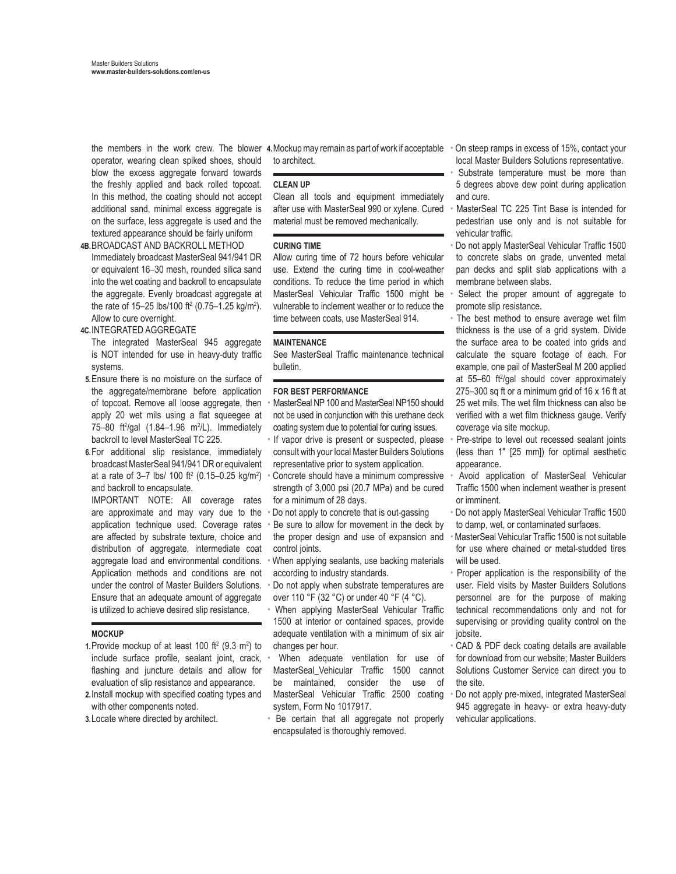operator, wearing clean spiked shoes, should blow the excess aggregate forward towards the freshly applied and back rolled topcoat. In this method, the coating should not accept additional sand, minimal excess aggregate is on the surface, less aggregate is used and the textured appearance should be fairly uniform

- **4B.**BROADCAST AND BACKROLL METHOD Immediately broadcast MasterSeal 941/941 DR or equivalent 16–30 mesh, rounded silica sand into the wet coating and backroll to encapsulate the aggregate. Evenly broadcast aggregate at the rate of 15–25 lbs/100 ft<sup>2</sup> (0.75–1.25 kg/m<sup>2</sup>). Allow to cure overnight.
- **4C.**INTEGRATED AGGREGATE

The integrated MasterSeal 945 aggregate is NOT intended for use in heavy-duty traffic systems.

- **5.**Ensure there is no moisture on the surface of the aggregate/membrane before application of topcoat. Remove all loose aggregate, then apply 20 wet mils using a flat squeegee at 75–80 ft<sup>2</sup>/gal (1.84–1.96 m<sup>2</sup>/L). Immediately backroll to level MasterSeal TC 225.
- **6.**For additional slip resistance, immediately broadcast MasterSeal 941/941 DR or equivalent at a rate of 3–7 lbs/ 100 ft<sup>2</sup> (0.15–0.25 kg/m<sup>2</sup>) and backroll to encapsulate.

IMPORTANT NOTE: All coverage rates are approximate and may vary due to the application technique used. Coverage rates are affected by substrate texture, choice and distribution of aggregate, intermediate coat aggregate load and environmental conditions. Application methods and conditions are not under the control of Master Builders Solutions. Ensure that an adequate amount of aggregate is utilized to achieve desired slip resistance.

#### **MOCKUP**

- **1.** Provide mockup of at least 100 ft<sup>2</sup> (9.3 m<sup>2</sup>) to include surface profile, sealant joint, crack, flashing and juncture details and allow for evaluation of slip resistance and appearance.
- **2.**Install mockup with specified coating types and with other components noted.
- **3.**Locate where directed by architect.

the members in the work crew. The blower 4.Mockup may remain as part of work if acceptable  $\cdot$  On steep ramps in excess of 15%, contact your to architect.

#### **CLEAN UP**

Clean all tools and equipment immediately after use with MasterSeal 990 or xylene. Cured material must be removed mechanically.

#### **CURING TIME**

Allow curing time of 72 hours before vehicular use. Extend the curing time in cool-weather conditions. To reduce the time period in which MasterSeal Vehicular Traffic 1500 might be vulnerable to inclement weather or to reduce the time between coats, use MasterSeal 914.

#### **MAINTENANCE**

See MasterSeal Traffic maintenance technical bulletin.

#### **FOR BEST PERFORMANCE**

- MasterSeal NP 100 and MasterSeal NP150 should not be used in conjunction with this urethane deck coating system due to potential for curing issues.
- If vapor drive is present or suspected, please consult with your local Master Builders Solutions representative prior to system application.
- Concrete should have a minimum compressive strength of 3,000 psi (20.7 MPa) and be cured for a minimum of 28 days.
- Do not apply to concrete that is out-gassing
- Be sure to allow for movement in the deck by the proper design and use of expansion and control joints.
- When applying sealants, use backing materials according to industry standards.
- Do not apply when substrate temperatures are over 110 °F (32 °C) or under 40 °F (4 °C).
- When applying MasterSeal Vehicular Traffic 1500 at interior or contained spaces, provide adequate ventilation with a minimum of six air changes per hour.
- When adequate ventilation for use of MasterSeal Vehicular Traffic 1500 cannot be maintained, consider the use of MasterSeal Vehicular Traffic 2500 coating system, Form No 1017917.
- Be certain that all aggregate not properly encapsulated is thoroughly removed.
- local Master Builders Solutions representative.
- Substrate temperature must be more than 5 degrees above dew point during application and cure.
- MasterSeal TC 225 Tint Base is intended for pedestrian use only and is not suitable for vehicular traffic.
- Do not apply MasterSeal Vehicular Traffic 1500 to concrete slabs on grade, unvented metal pan decks and split slab applications with a membrane between slabs.
- Select the proper amount of aggregate to promote slip resistance.
- The best method to ensure average wet film thickness is the use of a grid system. Divide the surface area to be coated into grids and calculate the square footage of each. For example, one pail of MasterSeal M 200 applied at 55–60 ft<sup>2</sup>/gal should cover approximately 275–300 sq ft or a minimum grid of 16 x 16 ft at 25 wet mils. The wet film thickness can also be verified with a wet film thickness gauge. Verify coverage via site mockup.
- Pre-stripe to level out recessed sealant joints (less than 1" [25 mm]) for optimal aesthetic appearance.
- Avoid application of MasterSeal Vehicular Traffic 1500 when inclement weather is present or imminent.
- Do not apply MasterSeal Vehicular Traffic 1500 to damp, wet, or contaminated surfaces.
- MasterSeal Vehicular Traffic 1500 is not suitable for use where chained or metal-studded tires will be used.
- Proper application is the responsibility of the user. Field visits by Master Builders Solutions personnel are for the purpose of making technical recommendations only and not for supervising or providing quality control on the iobsite.
- CAD & PDF deck coating details are available for download from our website; Master Builders Solutions Customer Service can direct you to the site.
- Do not apply pre-mixed, integrated MasterSeal 945 aggregate in heavy- or extra heavy-duty vehicular applications.